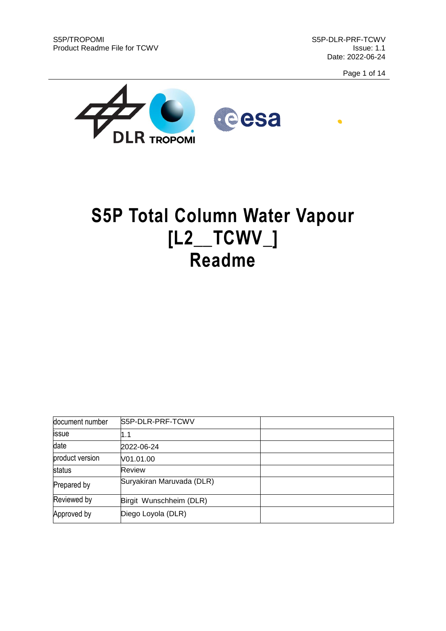[S5P-DLR-PRF-TCWV](#page-0-0) Issue[: 1.1](#page-0-1) Date: [2022-06-24](#page-0-2)

 $\bullet$ 

Page 1 of 14



# **S5P Total Column Water Vapour [L2\_\_TCWV\_] Readme**

<span id="page-0-2"></span><span id="page-0-1"></span><span id="page-0-0"></span>

| document number | S5P-DLR-PRF-TCWV          |  |
|-----------------|---------------------------|--|
| issue           | l1.1                      |  |
| date            | 2022-06-24                |  |
| product version | V01.01.00                 |  |
| status          | <b>Review</b>             |  |
| Prepared by     | Suryakiran Maruvada (DLR) |  |
| Reviewed by     | Birgit Wunschheim (DLR)   |  |
| Approved by     | Diego Loyola (DLR)        |  |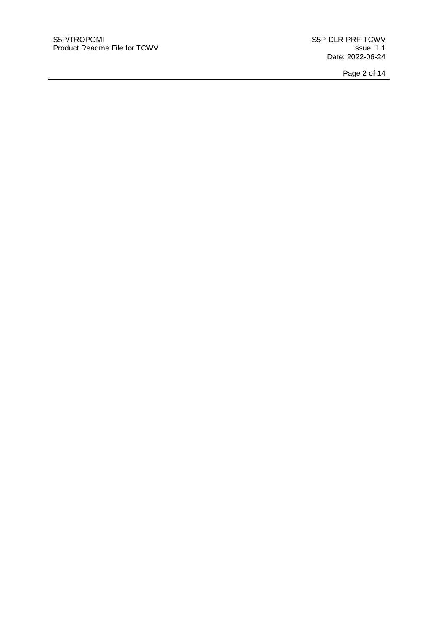S5P-DLR-PRF[-TCWV](#page-0-0) Issue: [1.1](#page-0-1) Date: [2022](#page-0-2)-06-24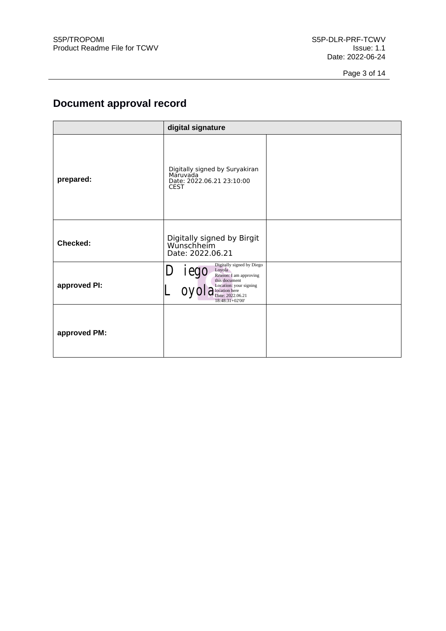# **Document approval record**

|              | digital signature                                                                                                                                                |  |
|--------------|------------------------------------------------------------------------------------------------------------------------------------------------------------------|--|
| prepared:    | Digitally signed by Suryakiran<br>Maruvada<br>Date: 2022.06.21 23:10:00<br><b>CEST</b>                                                                           |  |
| Checked:     | Digitally signed by Birgit<br>Wunschheim<br>Date: 2022.06.21                                                                                                     |  |
| approved PI: | Digitally signed by Diego<br>Loyola<br>Reason: I am approving<br>this document<br>Location: your signing<br>location here<br>Date: 2022.06.21<br>18:48:31+02'00' |  |
| approved PM: |                                                                                                                                                                  |  |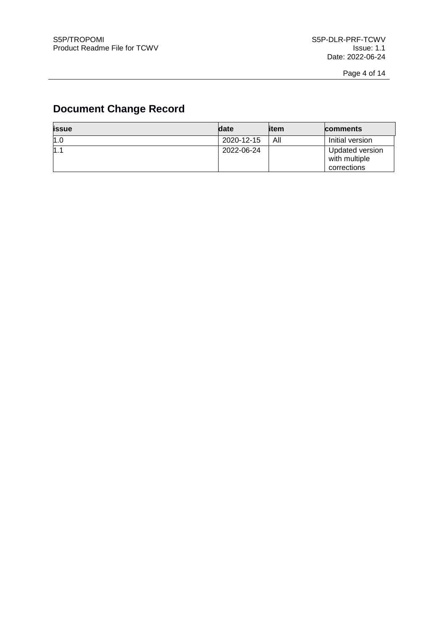# **Document Change Record**

| issue | <b>date</b> | litem | <b>comments</b>                                 |
|-------|-------------|-------|-------------------------------------------------|
| l1.0  | 2020-12-15  | All   | Initial version                                 |
| 1.1   | 2022-06-24  |       | Updated version<br>with multiple<br>corrections |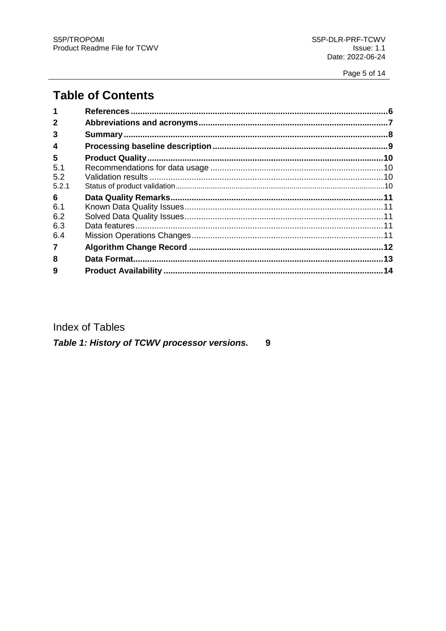# **Table of Contents**

| $\mathbf{2}$ |  |
|--------------|--|
| 3            |  |
| 4            |  |
| 5            |  |
| 5.1          |  |
| 5.2          |  |
| 5.2.1        |  |
| 6            |  |
| 6.1          |  |
| 6.2          |  |
| 6.3          |  |
| 6.4          |  |
| 7            |  |
| 8            |  |
| 9            |  |

**Index of Tables** Table 1: History of TCWV processor versions.  $\boldsymbol{9}$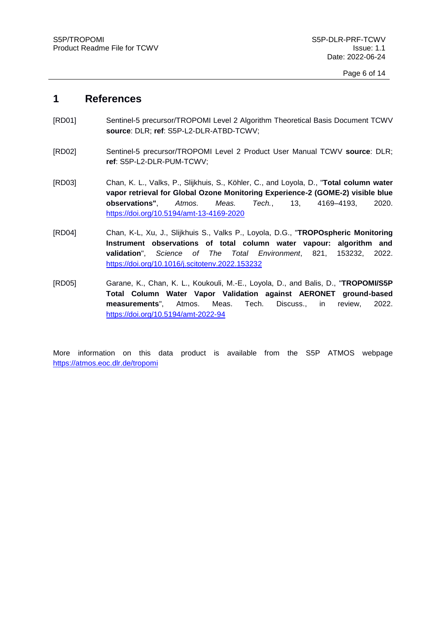#### <span id="page-5-0"></span>**1 References**

- <span id="page-5-2"></span>[RD01] Sentinel-5 precursor/TROPOMI Level 2 [Algorithm Theoretical Basis Document](https://sentinels.copernicus.eu/documents/247904/2476257/Sentinel-5P-TROPOMI-ATBD-Total-Ozone) TCWV **source**: DLR; **ref**: S5P-L2-DLR-ATBD-TCWV;
- <span id="page-5-1"></span>[RD02] Sentinel-5 precursor/TROPOMI Level 2 [Product](https://sentinels.copernicus.eu/documents/247904/2476257/Sentinel-5P-TROPOMI-ATBD-Total-Ozone) User Manual TCWV **source**: DLR; **ref**: S5P-L2-DLR-PUM-TCW[V;](https://sentinel.esa.int/documents/247904/2474726/Sentinel-5P-Level-2-Product-User-Manual-Cloud)
- [RD03] Chan, K. L., Valks, P., Slijkhuis, S., Köhler, C., and Loyola, D., "**Total column water vapor retrieval for Global Ozone Monitoring Experience-2 (GOME-2) visible blue observations"**, *Atmos. Meas. Tech.*, 13, 4169–4193, 2020. <https://doi.org/10.5194/amt-13-4169-2020>
- [RD04] Chan, K-L, Xu, J., Slijkhuis S., Valks P., Loyola, D.G., "**TROPOspheric Monitoring Instrument observations of total column water vapour: algorithm and validation**", *Science of The Total Environment*, 821, 153232, 2022. <https://doi.org/10.1016/j.scitotenv.2022.153232>
- [RD05] Garane, K., Chan, K. L., Koukouli, M.-E., Loyola, D., and Balis, D., "**TROPOMI/S5P Total Column Water Vapor Validation against AERONET ground-based measurements**", Atmos. Meas. Tech. Discuss., in review, 2022. <https://doi.org/10.5194/amt-2022-94>

More information on this data product is available from the S5P ATMOS webpage <https://atmos.eoc.dlr.de/tropomi>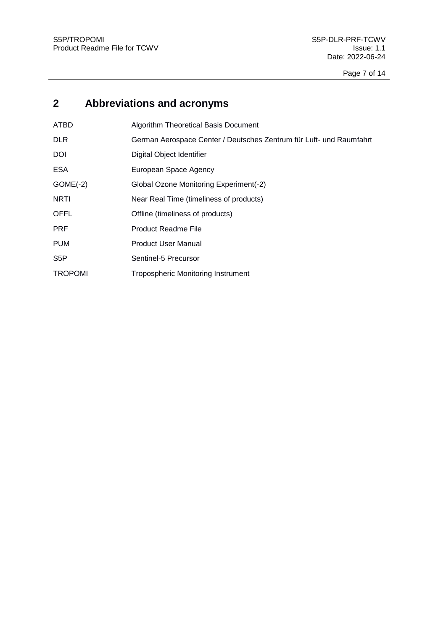# <span id="page-6-0"></span>**2 Abbreviations and acronyms**

| <b>ATBD</b>      | Algorithm Theoretical Basis Document                                |
|------------------|---------------------------------------------------------------------|
| <b>DLR</b>       | German Aerospace Center / Deutsches Zentrum für Luft- und Raumfahrt |
| <b>DOI</b>       | Digital Object Identifier                                           |
| <b>ESA</b>       | European Space Agency                                               |
| $GOME(-2)$       | Global Ozone Monitoring Experiment(-2)                              |
| <b>NRTI</b>      | Near Real Time (timeliness of products)                             |
| <b>OFFL</b>      | Offline (timeliness of products)                                    |
| <b>PRF</b>       | Product Readme File                                                 |
| <b>PUM</b>       | <b>Product User Manual</b>                                          |
| S <sub>5</sub> P | Sentinel-5 Precursor                                                |
| <b>TROPOMI</b>   | <b>Tropospheric Monitoring Instrument</b>                           |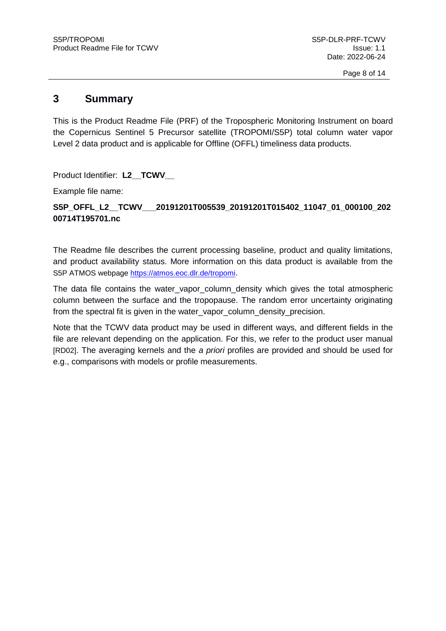### <span id="page-7-0"></span>**3 Summary**

This is the Product Readme File (PRF) of the Tropospheric Monitoring Instrument on board the Copernicus Sentinel 5 Precursor satellite (TROPOMI/S5P) total column water vapor Level 2 data product and is applicable for Offline (OFFL) timeliness data products.

Product Identifier: **L2\_\_TCWV\_\_**

Example file name:

#### **S5P\_OFFL\_L2\_\_TCWV\_\_\_20191201T005539\_20191201T015402\_11047\_01\_000100\_202 00714T195701.nc**

The Readme file describes the current processing baseline, product and quality limitations, and product availability status. More information on this data product is available from the S5P ATMOS webpage <https://atmos.eoc.dlr.de/tropomi>.

The data file contains the water vapor column density which gives the total atmospheric column between the surface and the tropopause. The random error uncertainty originating from the spectral fit is given in the water\_vapor\_column\_density\_precision.

Note that the TCWV data product may be used in different ways, and different fields in the file are relevant depending on the application. For this, we refer to the product user manual [\[RD02\]](#page-5-1). The averaging kernels and the *a priori* profiles are provided and should be used for e.g., comparisons with models or profile measurements.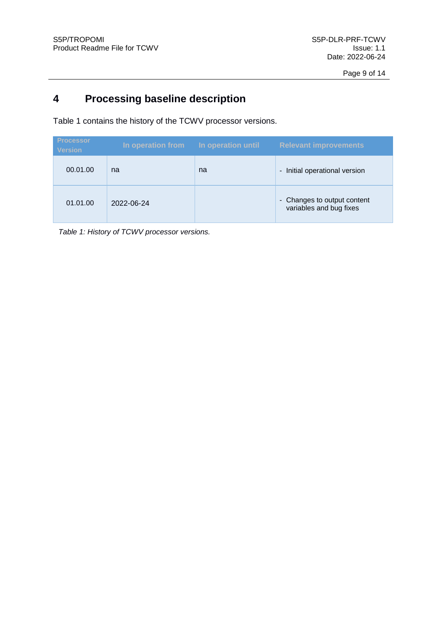# <span id="page-8-0"></span>**4 Processing baseline description**

Table 1 contains the history of the TCWV processor versions.

| <b>Processor</b><br><b>Version</b> | In operation from | <b>In operation until</b> | <b>Relevant improvements</b>                           |
|------------------------------------|-------------------|---------------------------|--------------------------------------------------------|
| 00.01.00                           | na                | na                        | - Initial operational version                          |
| 01.01.00                           | 2022-06-24        |                           | - Changes to output content<br>variables and bug fixes |

*Table 1: History of TCWV processor versions.*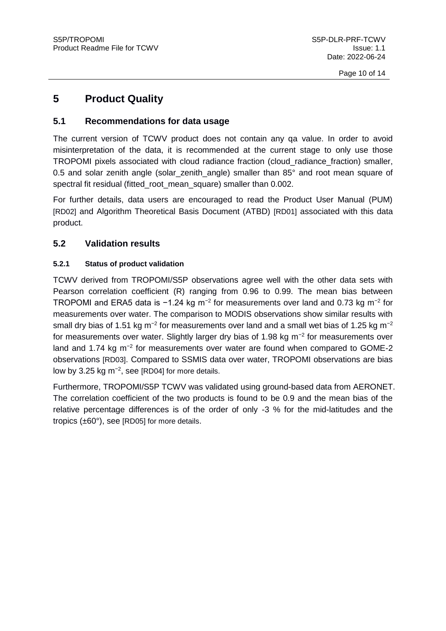### <span id="page-9-0"></span>**5 Product Quality**

#### <span id="page-9-1"></span>**5.1 Recommendations for data usage**

The current version of TCWV product does not contain any qa value. In order to avoid misinterpretation of the data, it is recommended at the current stage to only use those TROPOMI pixels associated with cloud radiance fraction (cloud\_radiance\_fraction) smaller, 0.5 and solar zenith angle (solar\_zenith\_angle) smaller than 85° and root mean square of spectral fit residual (fitted\_root\_mean\_square) smaller than 0.002.

For further details, data users are encouraged to read the Product User Manual (PUM) [\[RD02\]](#page-5-1) and Algorithm Theoretical Basis Document (ATBD) [\[RD01\]](#page-5-2) associated with this data product.

#### <span id="page-9-2"></span>**5.2 Validation results**

#### <span id="page-9-3"></span>**5.2.1 Status of product validation**

TCWV derived from TROPOMI/S5P observations agree well with the other data sets with Pearson [correlation coefficient](https://www.sciencedirect.com/topics/earth-and-planetary-sciences/correlation-coefficient) (R) ranging from 0.96 to 0.99. The mean bias between TROPOMI and ERA5 data is -1.24 kg m<sup>-2</sup> for measurements over land and 0.73 kg m<sup>-2</sup> for measurements over water. The comparison to MODIS observations show similar results with small dry bias of 1.51 kg m<sup>-2</sup> for measurements over land and a small wet bias of 1.25 kg m<sup>-2</sup> for measurements over water. Slightly larger dry bias of 1.98 kg m<sup>-2</sup> for measurements over land and 1.74 kg m<sup>-2</sup> for measurements over water are found when compared to GOME-2 observations [RD03]. Compared to SSMIS data over water, TROPOMI observations are bias low by 3.25 kg m<sup>-2</sup>, see [RD04] for more details.

Furthermore, TROPOMI/S5P TCWV was validated using ground-based data from AERONET. The correlation coefficient of the two products is found to be 0.9 and the mean bias of the relative percentage differences is of the order of only -3 % for the mid-latitudes and the tropics (±60°), see [RD05] for more details.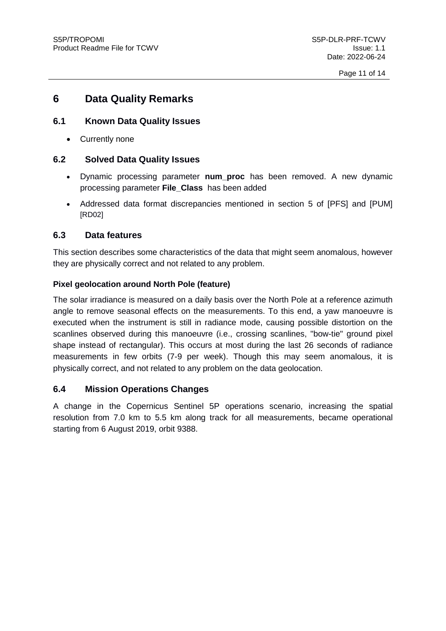### <span id="page-10-0"></span>**6 Data Quality Remarks**

#### <span id="page-10-1"></span>**6.1 Known Data Quality Issues**

• Currently none

#### <span id="page-10-2"></span>**6.2 Solved Data Quality Issues**

- Dynamic processing parameter **num\_proc** has been removed. A new dynamic processing parameter **File\_Class** has been added
- Addressed data format discrepancies mentioned in section 5 of [PFS] and [PUM] [\[RD02\]](#page-5-1)

#### <span id="page-10-3"></span>**6.3 Data features**

This section describes some characteristics of the data that might seem anomalous, however they are physically correct and not related to any problem.

#### **Pixel geolocation around North Pole (feature)**

The solar irradiance is measured on a daily basis over the North Pole at a reference azimuth angle to remove seasonal effects on the measurements. To this end, a yaw manoeuvre is executed when the instrument is still in radiance mode, causing possible distortion on the scanlines observed during this manoeuvre (i.e., crossing scanlines, "bow-tie" ground pixel shape instead of rectangular). This occurs at most during the last 26 seconds of radiance measurements in few orbits (7-9 per week). Though this may seem anomalous, it is physically correct, and not related to any problem on the data geolocation.

#### <span id="page-10-4"></span>**6.4 Mission Operations Changes**

A change in the Copernicus Sentinel 5P operations scenario, increasing the spatial resolution from 7.0 km to 5.5 km along track for all measurements, became operational starting from 6 August 2019, orbit 9388.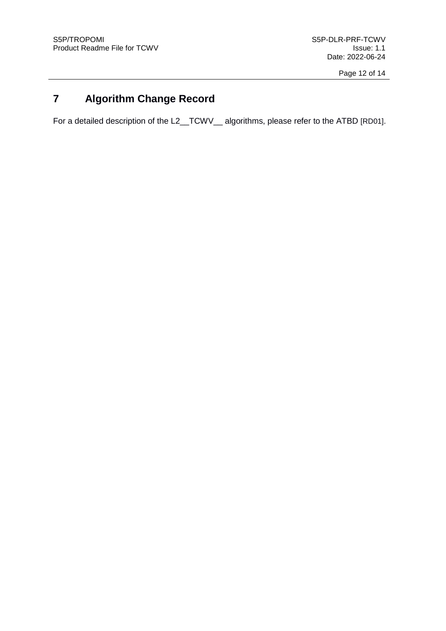# <span id="page-11-0"></span>**7 Algorithm Change Record**

For a detailed description of the L2\_\_TCWV\_\_ algorithms, please refer to the ATBD [\[RD01\]](#page-5-2).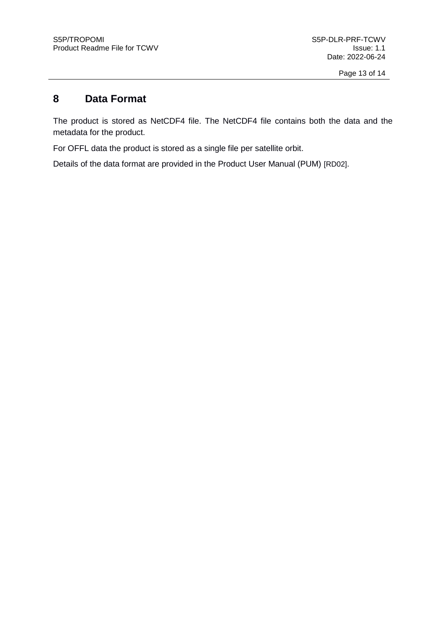### <span id="page-12-0"></span>**8 Data Format**

The product is stored as NetCDF4 file. The NetCDF4 file contains both the data and the metadata for the product.

For OFFL data the product is stored as a single file per satellite orbit.

Details of the data format are provided in the Product User Manual (PUM) [\[RD02\]](#page-5-1).